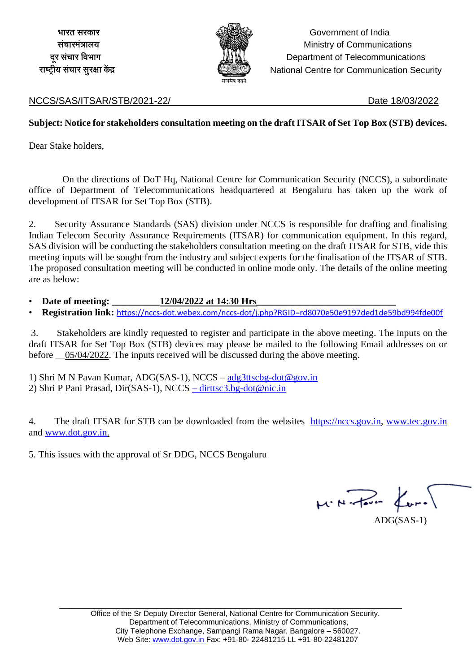

 **भारत सरकार** Government of India **संचारमंत्रालय** Ministry of Communications **दूर संचार विभाग** Department of Telecommunications  **राष्ट रीय संचार सुरक्षा केंद्र** National Centre for Communication Security

#### NCCS/SAS/ITSAR/STB/2021-22/ Date 18/03/2022

#### **Subject: Notice for stakeholders consultation meeting on the draft ITSAR of Set Top Box (STB) devices.**

Dear Stake holders,

 On the directions of DoT Hq, National Centre for Communication Security (NCCS), a subordinate office of Department of Telecommunications headquartered at Bengaluru has taken up the work of development of ITSAR for Set Top Box (STB).

2. Security Assurance Standards (SAS) division under NCCS is responsible for drafting and finalising Indian Telecom Security Assurance Requirements (ITSAR) for communication equipment. In this regard, SAS division will be conducting the stakeholders consultation meeting on the draft ITSAR for STB, vide this meeting inputs will be sought from the industry and subject experts for the finalisation of the ITSAR of STB. The proposed consultation meeting will be conducted in online mode only. The details of the online meeting are as below:

• Date of meeting:  $12/04/2022$  at 14:30 Hrs

• **Registration link:** <https://nccs-dot.webex.com/nccs-dot/j.php?RGID=rd8070e50e9197ded1de59bd994fde00f>

3. Stakeholders are kindly requested to register and participate in the above meeting. The inputs on the draft ITSAR for Set Top Box (STB) devices may please be mailed to the following Email addresses on or before  $05/04/2022$ . The inputs received will be discussed during the above meeting.

1) Shri M N Pavan Kumar, ADG(SAS-1), NCCS – [adg3ttscbg-dot@gov.in](mailto:adg3ttscbg-dot@gov.in) 2) Shri P Pani Prasad, Dir(SAS-1), NCCS – [dirttsc3.bg-dot@nic.in](mailto:–%20dirttsc3.bg-dot@nic.in)

4. The draft ITSAR for STB can be downloaded from the websites [https://nccs.gov.in,](https://nccs.gov.in/) [www.tec.gov.in](http://www.tec.gov.in/) and [www.dot.gov.in.](http://www.dot.gov.in/)

5. This issues with the approval of Sr DDG, NCCS Bengaluru

 $\mu$  . N . Have  $\mu$  . ADG(SAS-1)

\_\_\_\_\_\_\_\_\_\_\_\_\_\_\_\_\_\_\_\_\_\_\_\_\_\_\_\_\_\_\_\_\_\_\_\_\_\_\_\_\_\_\_\_\_\_\_\_\_\_\_\_\_\_\_\_\_\_\_\_\_\_\_\_\_\_\_\_\_\_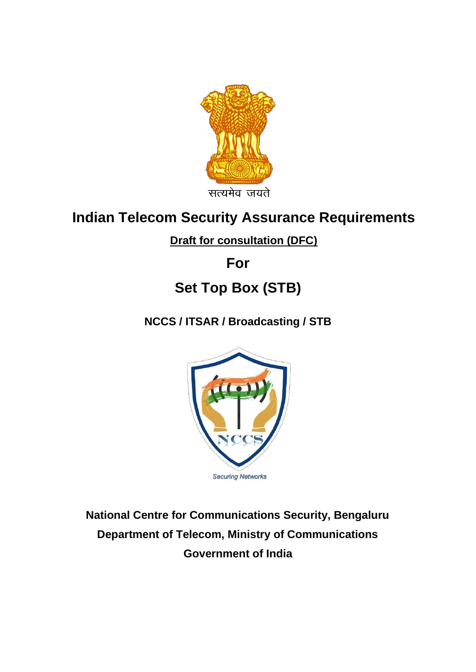

## **Indian Telecom Security Assurance Requirements**

## **Draft for consultation (DFC)**

**For** 

# **Set Top Box (STB)**

**NCCS / ITSAR / Broadcasting / STB**



**National Centre for Communications Security, Bengaluru Department of Telecom, Ministry of Communications Government of India**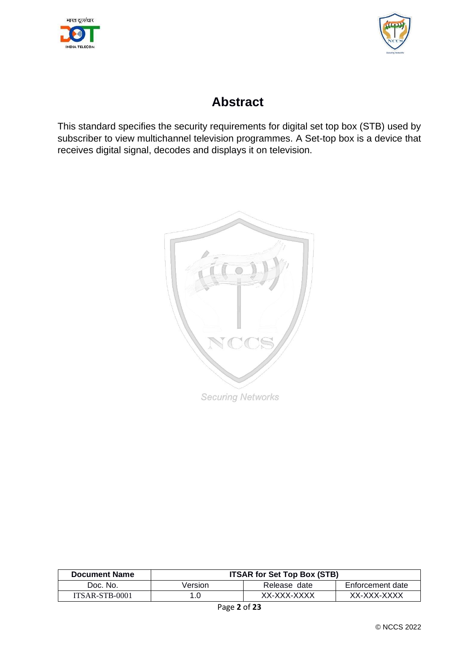



## **Abstract**

This standard specifies the security requirements for digital set top box (STB) used by subscriber to view multichannel television programmes. A Set-top box is a device that receives digital signal, decodes and displays it on television.



| <b>Document Name</b> | <b>ITSAR for Set Top Box (STB)</b> |              |                  |
|----------------------|------------------------------------|--------------|------------------|
| Doc. No.             | Version                            | Release date | Enforcement date |
| ITSAR-STB-0001       |                                    | XX-XXX-XXXX  | XX-XXX-XXXX      |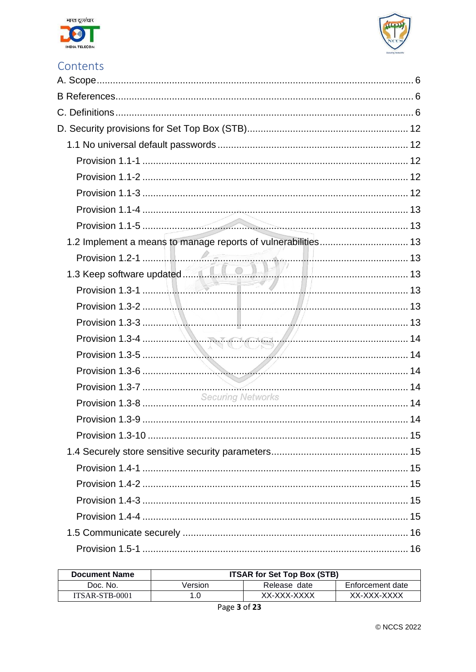



## Contents

| 1.2 Implement a means to manage reports of vulnerabilities 13 |  |
|---------------------------------------------------------------|--|
|                                                               |  |
|                                                               |  |
|                                                               |  |
|                                                               |  |
|                                                               |  |
|                                                               |  |
| Provision 1.3-5                                               |  |
|                                                               |  |
|                                                               |  |
|                                                               |  |
|                                                               |  |
|                                                               |  |
|                                                               |  |
|                                                               |  |
|                                                               |  |
|                                                               |  |
|                                                               |  |
|                                                               |  |
|                                                               |  |
|                                                               |  |

| <b>Document Name</b> | <b>ITSAR for Set Top Box (STB)</b> |              |                  |
|----------------------|------------------------------------|--------------|------------------|
| Doc. No.             | Version                            | Release date | Enforcement date |
| ITSAR-STB-0001       |                                    | XX-XXX-XXXX  | XX-XXX-XXXX      |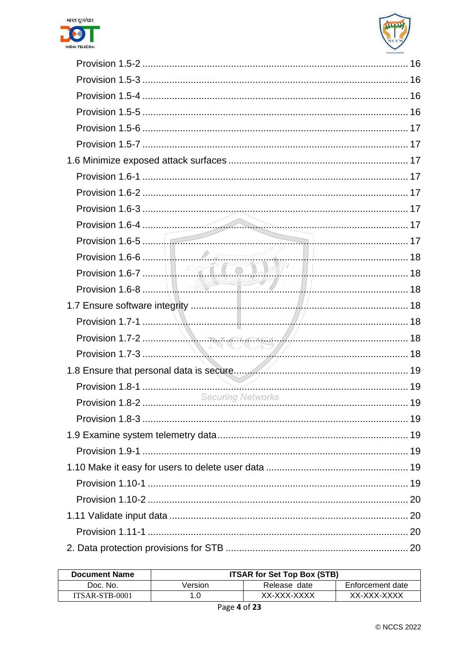



| Provision 1.7-2<br>Provision 1.7-3 |  |
|------------------------------------|--|
|                                    |  |
|                                    |  |
|                                    |  |
|                                    |  |
|                                    |  |
|                                    |  |
|                                    |  |
|                                    |  |
|                                    |  |
|                                    |  |
|                                    |  |
|                                    |  |

| <b>Document Name</b> | <b>ITSAR for Set Top Box (STB)</b> |              |                  |
|----------------------|------------------------------------|--------------|------------------|
| Doc. No.             | Version                            | Release date | Enforcement date |
| ITSAR-STB-0001       | 1.0                                | XX-XXX-XXXX  | XX-XXX-XXXX      |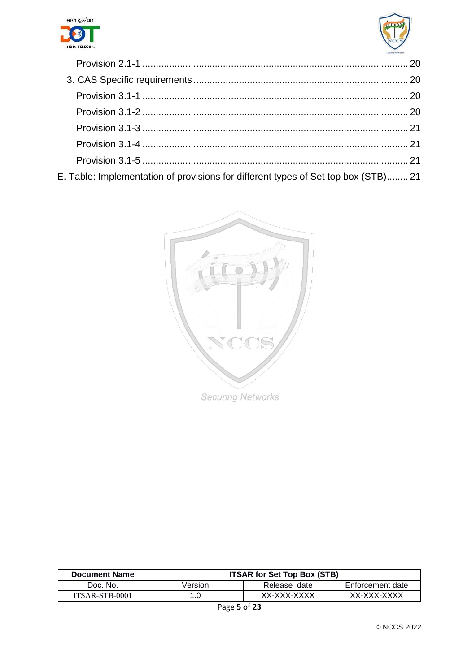



<span id="page-5-0"></span>

| E. Table: Implementation of provisions for different types of Set top box (STB) 21 |  |
|------------------------------------------------------------------------------------|--|

<span id="page-5-1"></span>

<span id="page-5-2"></span>

| <b>Document Name</b> | <b>ITSAR for Set Top Box (STB)</b> |              |                  |
|----------------------|------------------------------------|--------------|------------------|
| Doc. No.             | Version                            | Release date | Enforcement date |
| ITSAR-STB-0001       |                                    | XX-XXX-XXXX  | XX-XXX-XXXX      |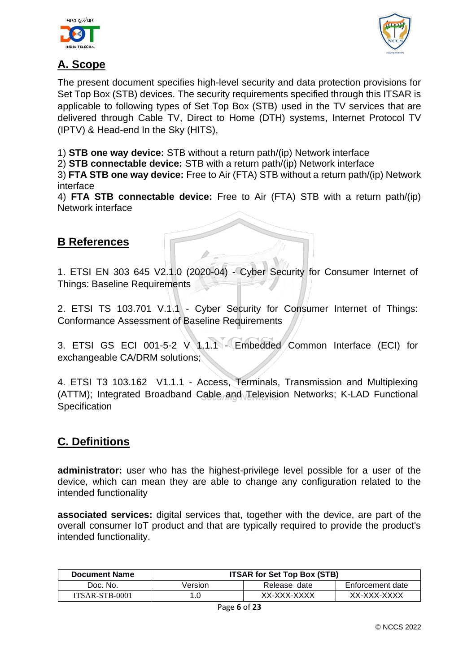



## **A. Scope**

The present document specifies high-level security and data protection provisions for Set Top Box (STB) devices. The security requirements specified through this ITSAR is applicable to following types of Set Top Box (STB) used in the TV services that are delivered through Cable TV, Direct to Home (DTH) systems, Internet Protocol TV (IPTV) & Head-end In the Sky (HITS),

1) **STB one way device:** STB without a return path/(ip) Network interface

2) **STB connectable device:** STB with a return path/(ip) Network interface

3) **FTA STB one way device:** Free to Air (FTA) STB without a return path/(ip) Network interface

4) **FTA STB connectable device:** Free to Air (FTA) STB with a return path/(ip) Network interface

## **B References**

1. ETSI EN 303 645 V2.1.0 (2020-04) - Cyber Security for Consumer Internet of Things: Baseline Requirements

2. ETSI TS 103.701 V.1.1 - Cyber Security for Consumer Internet of Things: Conformance Assessment of Baseline Requirements

3. ETSI GS ECI 001-5-2 V 1.1.1 - Embedded Common Interface (ECI) for exchangeable CA/DRM solutions;

4. ETSI T3 103.162 V1.1.1 - Access, Terminals, Transmission and Multiplexing (ATTM); Integrated Broadband Cable and Television Networks; K-LAD Functional **Specification** 

## **C. Definitions**

**administrator:** user who has the highest-privilege level possible for a user of the device, which can mean they are able to change any configuration related to the intended functionality

**associated services:** digital services that, together with the device, are part of the overall consumer IoT product and that are typically required to provide the product's intended functionality.

| <b>Document Name</b> | <b>ITSAR for Set Top Box (STB)</b> |              |                  |
|----------------------|------------------------------------|--------------|------------------|
| Doc. No.             | Version                            | Release date | Enforcement date |
| ITSAR-STB-0001       |                                    | XX-XXX-XXXX  | XX-XXX-XXXX      |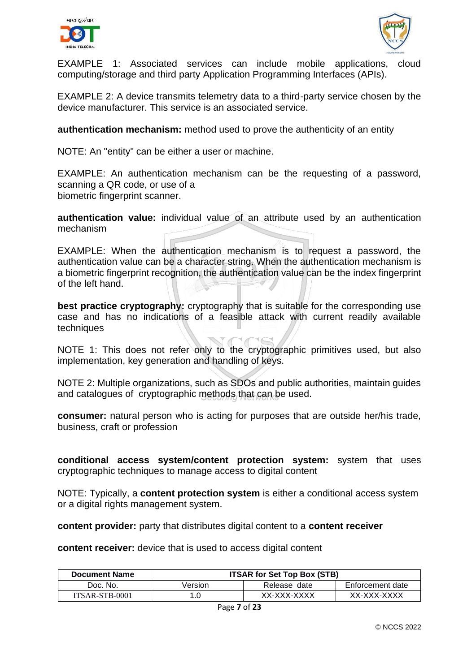



EXAMPLE 1: Associated services can include mobile applications, cloud computing/storage and third party Application Programming Interfaces (APIs).

EXAMPLE 2: A device transmits telemetry data to a third-party service chosen by the device manufacturer. This service is an associated service.

**authentication mechanism:** method used to prove the authenticity of an entity

NOTE: An "entity" can be either a user or machine.

EXAMPLE: An authentication mechanism can be the requesting of a password, scanning a QR code, or use of a biometric fingerprint scanner.

**authentication value:** individual value of an attribute used by an authentication mechanism

EXAMPLE: When the authentication mechanism is to request a password, the authentication value can be a character string. When the authentication mechanism is a biometric fingerprint recognition, the authentication value can be the index fingerprint of the left hand.

**best practice cryptography:** cryptography that is suitable for the corresponding use case and has no indications of a feasible attack with current readily available techniques

NOTE 1: This does not refer only to the cryptographic primitives used, but also implementation, key generation and handling of keys.

NOTE 2: Multiple organizations, such as SDOs and public authorities, maintain guides and catalogues of cryptographic methods that can be used.

**consumer:** natural person who is acting for purposes that are outside her/his trade, business, craft or profession

**conditional access system/content protection system:** system that uses cryptographic techniques to manage access to digital content

NOTE: Typically, a **content protection system** is either a conditional access system or a digital rights management system.

**content provider:** party that distributes digital content to a **content receiver**

**content receiver:** device that is used to access digital content

| <b>Document Name</b> | <b>ITSAR for Set Top Box (STB)</b> |              |                  |
|----------------------|------------------------------------|--------------|------------------|
| Doc. No.             | Version                            | Release date | Enforcement date |
| ITSAR-STB-0001       |                                    | XX-XXX-XXXX  | XX-XXX-XXXX      |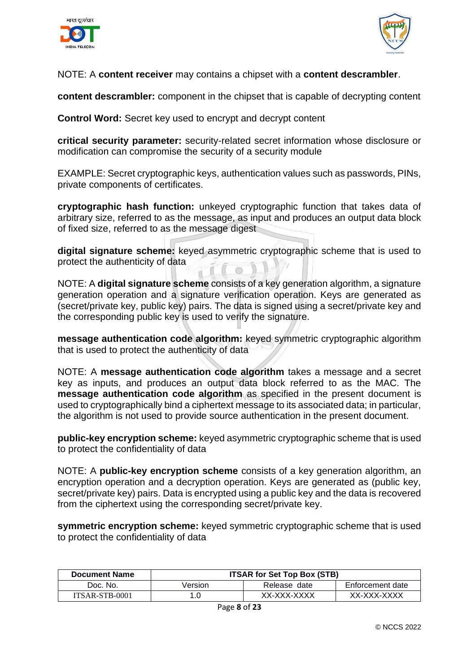



#### NOTE: A **content receiver** may contains a chipset with a **content descrambler**.

**content descrambler:** component in the chipset that is capable of decrypting content

**Control Word:** Secret key used to encrypt and decrypt content

**critical security parameter:** security-related secret information whose disclosure or modification can compromise the security of a security module

EXAMPLE: Secret cryptographic keys, authentication values such as passwords, PINs, private components of certificates.

**cryptographic hash function:** unkeyed cryptographic function that takes data of arbitrary size, referred to as the message, as input and produces an output data block of fixed size, referred to as the message digest

**digital signature scheme:** keyed asymmetric cryptographic scheme that is used to protect the authenticity of data

NOTE: A **digital signature scheme** consists of a key generation algorithm, a signature generation operation and a signature verification operation. Keys are generated as (secret/private key, public key) pairs. The data is signed using a secret/private key and the corresponding public key is used to verify the signature.

**message authentication code algorithm:** keyed symmetric cryptographic algorithm that is used to protect the authenticity of data

NOTE: A **message authentication code algorithm** takes a message and a secret key as inputs, and produces an output data block referred to as the MAC. The **message authentication code algorithm as specified in the present document is** used to cryptographically bind a ciphertext message to its associated data; in particular, the algorithm is not used to provide source authentication in the present document.

**public-key encryption scheme:** keyed asymmetric cryptographic scheme that is used to protect the confidentiality of data

NOTE: A **public-key encryption scheme** consists of a key generation algorithm, an encryption operation and a decryption operation. Keys are generated as (public key, secret/private key) pairs. Data is encrypted using a public key and the data is recovered from the ciphertext using the corresponding secret/private key.

**symmetric encryption scheme:** keyed symmetric cryptographic scheme that is used to protect the confidentiality of data

| <b>Document Name</b> | <b>ITSAR for Set Top Box (STB)</b> |              |                  |
|----------------------|------------------------------------|--------------|------------------|
| Doc. No.             | Version                            | Release date | Enforcement date |
| ITSAR-STB-0001       |                                    | XX-XXX-XXXX  | XX-XXX-XXXX      |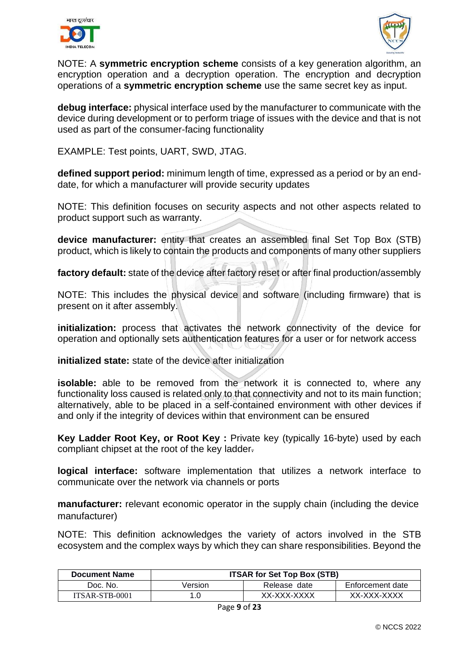



NOTE: A **symmetric encryption scheme** consists of a key generation algorithm, an encryption operation and a decryption operation. The encryption and decryption operations of a **symmetric encryption scheme** use the same secret key as input.

**debug interface:** physical interface used by the manufacturer to communicate with the device during development or to perform triage of issues with the device and that is not used as part of the consumer-facing functionality

EXAMPLE: Test points, UART, SWD, JTAG.

**defined support period:** minimum length of time, expressed as a period or by an enddate, for which a manufacturer will provide security updates

NOTE: This definition focuses on security aspects and not other aspects related to product support such as warranty.

**device manufacturer:** entity that creates an assembled final Set Top Box (STB) product, which is likely to contain the products and components of many other suppliers

**factory default:** state of the device after factory reset or after final production/assembly

NOTE: This includes the physical device and software (including firmware) that is present on it after assembly.

**initialization:** process that activates the network connectivity of the device for operation and optionally sets authentication features for a user or for network access

**initialized state:** state of the device after initialization

**isolable:** able to be removed from the network it is connected to, where any functionality loss caused is related only to that connectivity and not to its main function; alternatively, able to be placed in a self-contained environment with other devices if and only if the integrity of devices within that environment can be ensured

**Key Ladder Root Key, or Root Key :** Private key (typically 16-byte) used by each compliant chipset at the root of the key ladder.

**logical interface:** software implementation that utilizes a network interface to communicate over the network via channels or ports

**manufacturer:** relevant economic operator in the supply chain (including the device manufacturer)

NOTE: This definition acknowledges the variety of actors involved in the STB ecosystem and the complex ways by which they can share responsibilities. Beyond the

| <b>Document Name</b> | <b>ITSAR for Set Top Box (STB)</b> |              |                  |
|----------------------|------------------------------------|--------------|------------------|
| Doc. No.             | Version                            | Release date | Enforcement date |
| ITSAR-STB-0001       |                                    | XX-XXX-XXXX  | XX-XXX-XXXX      |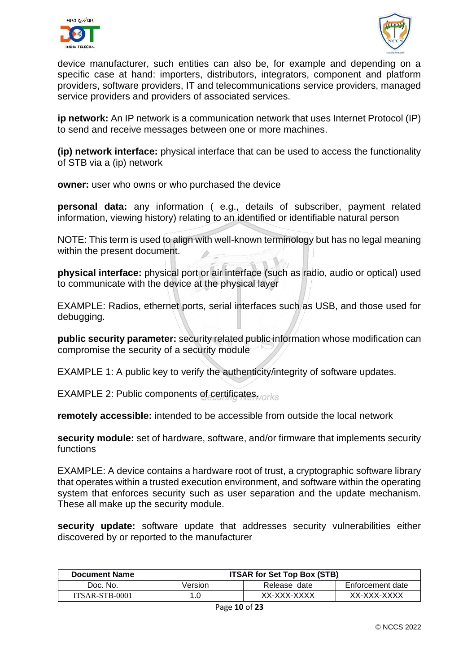



device manufacturer, such entities can also be, for example and depending on a specific case at hand: importers, distributors, integrators, component and platform providers, software providers, IT and telecommunications service providers, managed service providers and providers of associated services.

**ip network:** An IP network is a communication network that uses Internet Protocol (IP) to send and receive messages between one or more machines.

**(ip) network interface:** physical interface that can be used to access the functionality of STB via a (ip) network

**owner:** user who owns or who purchased the device

**personal data:** any information ( e.g., details of subscriber, payment related information, viewing history) relating to an identified or identifiable natural person

NOTE: This term is used to align with well-known terminology but has no legal meaning within the present document.

**physical interface:** physical port or air interface (such as radio, audio or optical) used to communicate with the device at the physical layer

EXAMPLE: Radios, ethernet ports, serial interfaces such as USB, and those used for debugging.

**public security parameter:** security related public information whose modification can compromise the security of a security module

EXAMPLE 1: A public key to verify the authenticity/integrity of software updates.

EXAMPLE 2: Public components of certificates.

**remotely accessible:** intended to be accessible from outside the local network

**security module:** set of hardware, software, and/or firmware that implements security functions

EXAMPLE: A device contains a hardware root of trust, a cryptographic software library that operates within a trusted execution environment, and software within the operating system that enforces security such as user separation and the update mechanism. These all make up the security module.

**security update:** software update that addresses security vulnerabilities either discovered by or reported to the manufacturer

| <b>Document Name</b> | <b>ITSAR for Set Top Box (STB)</b> |              |                  |
|----------------------|------------------------------------|--------------|------------------|
| Doc. No.             | Version                            | Release date | Enforcement date |
| ITSAR-STB-0001       |                                    | XX-XXX-XXXX  | XX-XXX-XXXX      |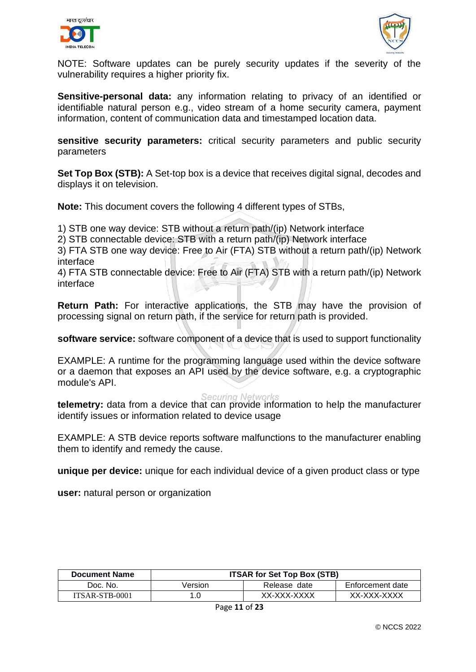



NOTE: Software updates can be purely security updates if the severity of the vulnerability requires a higher priority fix.

<span id="page-11-0"></span>**Sensitive-personal data:** any information relating to privacy of an identified or identifiable natural person e.g., video stream of a home security camera, payment information, content of communication data and timestamped location data.

<span id="page-11-2"></span><span id="page-11-1"></span>**sensitive security parameters:** critical security parameters and public security parameters

**Set Top Box (STB):** A Set-top box is a device that receives digital signal, decodes and displays it on television.

**Note:** This document covers the following 4 different types of STBs,

1) STB one way device: STB without a return path/(ip) Network interface

2) STB connectable device: STB with a return path/(ip) Network interface

3) FTA STB one way device: Free to Air (FTA) STB without a return path/(ip) Network interface

4) FTA STB connectable device: Free to Air (FTA) STB with a return path/(ip) Network interface

<span id="page-11-3"></span>**Return Path:** For interactive applications, the STB may have the provision of processing signal on return path, if the service for return path is provided.

**software service:** software component of a device that is used to support functionality

EXAMPLE: A runtime for the programming language used within the device software or a daemon that exposes an API used by the device software, e.g. a cryptographic module's API.

**Securing Networks** 

**telemetry:** data from a device that can provide information to help the manufacturer identify issues or information related to device usage

<span id="page-11-4"></span>EXAMPLE: A STB device reports software malfunctions to the manufacturer enabling them to identify and remedy the cause.

**unique per device:** unique for each individual device of a given product class or type

**user:** natural person or organization

| <b>Document Name</b> | <b>ITSAR for Set Top Box (STB)</b> |              |                  |
|----------------------|------------------------------------|--------------|------------------|
| Doc. No.             | Version                            | Release date | Enforcement date |
| ITSAR-STB-0001       |                                    | XX-XXX-XXXX  | XX-XXX-XXXX      |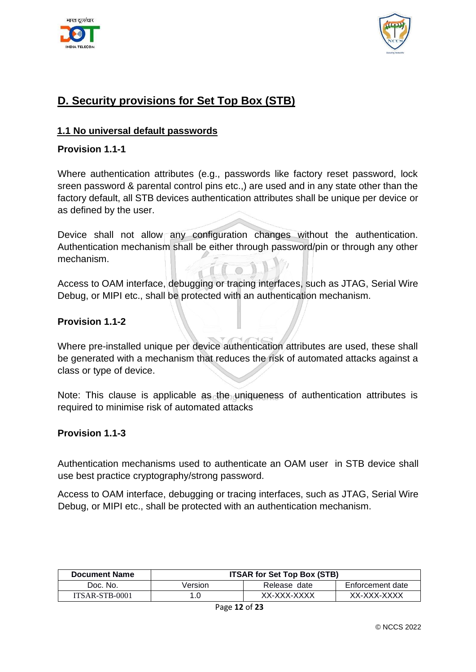



## <span id="page-12-0"></span>**D. Security provisions for Set Top Box (STB)**

#### <span id="page-12-1"></span>**1.1 No universal default passwords**

#### **Provision 1.1-1**

Where authentication attributes (e.g., passwords like factory reset password, lock sreen password & parental control pins etc.,) are used and in any state other than the factory default, all STB devices authentication attributes shall be unique per device or as defined by the user.

<span id="page-12-3"></span><span id="page-12-2"></span>Device shall not allow any configuration changes without the authentication. Authentication mechanism shall be either through password/pin or through any other mechanism.

Access to OAM interface, debugging or tracing interfaces, such as JTAG, Serial Wire Debug, or MIPI etc., shall be protected with an authentication mechanism.

#### <span id="page-12-5"></span><span id="page-12-4"></span>**Provision 1.1-2**

Where pre-installed unique per device authentication attributes are used, these shall be generated with a mechanism that reduces the risk of automated attacks against a class or type of device.

Note: This clause is applicable as the uniqueness of authentication attributes is required to minimise risk of automated attacks

#### <span id="page-12-6"></span>**Provision 1.1-3**

Authentication mechanisms used to authenticate an OAM user in STB device shall use best practice cryptography/strong password.

<span id="page-12-7"></span>Access to OAM interface, debugging or tracing interfaces, such as JTAG, Serial Wire Debug, or MIPI etc., shall be protected with an authentication mechanism.

| <b>Document Name</b> | <b>ITSAR for Set Top Box (STB)</b> |              |                  |
|----------------------|------------------------------------|--------------|------------------|
| Doc. No.             | Version                            | Release date | Enforcement date |
| ITSAR-STB-0001       |                                    | XX-XXX-XXXX  | XX-XXX-XXXX      |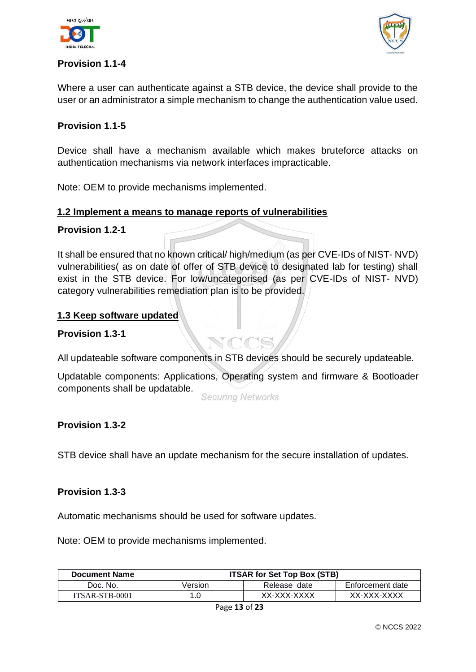



#### **Provision 1.1-4**

<span id="page-13-0"></span>Where a user can authenticate against a STB device, the device shall provide to the user or an administrator a simple mechanism to change the authentication value used.

#### **Provision 1.1-5**

Device shall have a mechanism available which makes bruteforce attacks on authentication mechanisms via network interfaces impracticable.

<span id="page-13-1"></span>Note: OEM to provide mechanisms implemented.

#### **1.2 Implement a means to manage reports of vulnerabilities**

#### **Provision 1.2-1**

<span id="page-13-2"></span>It shall be ensured that no known critical/ high/medium (as per CVE-IDs of NIST- NVD) vulnerabilities( as on date of offer of STB device to designated lab for testing) shall exist in the STB device. For low/uncategorised (as per CVE-IDs of NIST- NVD) category vulnerabilities remediation plan is to be provided.

#### **1.3 Keep software updated**

#### **Provision 1.3-1**

<span id="page-13-3"></span>All updateable software components in STB devices should be securely updateable.

Updatable components: Applications, Operating system and firmware & Bootloader components shall be updatable.

**Securing Networks** 

#### <span id="page-13-4"></span>**Provision 1.3-2**

STB device shall have an update mechanism for the secure installation of updates.

#### <span id="page-13-5"></span>**Provision 1.3-3**

Automatic mechanisms should be used for software updates.

Note: OEM to provide mechanisms implemented.

| <b>Document Name</b> | <b>ITSAR for Set Top Box (STB)</b> |              |                  |
|----------------------|------------------------------------|--------------|------------------|
| Doc. No.             | Version                            | Release date | Enforcement date |
| ITSAR-STB-0001       |                                    | XX-XXX-XXXX  | XX-XXX-XXXX      |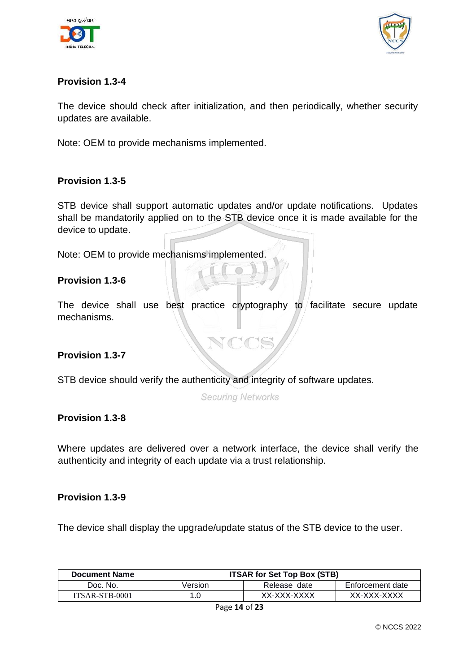



#### <span id="page-14-0"></span>**Provision 1.3-4**

The device should check after initialization, and then periodically, whether security updates are available.

<span id="page-14-2"></span><span id="page-14-1"></span>Note: OEM to provide mechanisms implemented.

#### **Provision 1.3-5**

<span id="page-14-3"></span>STB device shall support automatic updates and/or update notifications. Updates shall be mandatorily applied on to the STB device once it is made available for the device to update.

Note: OEM to provide mechanisms implemented.

#### **Provision 1.3-6**

The device shall use best practice cryptography to facilitate secure update mechanisms.

#### <span id="page-14-4"></span>**Provision 1.3-7**

STB device should verify the authenticity and integrity of software updates.

**Securing Networks** 

#### **Provision 1.3-8**

<span id="page-14-5"></span>Where updates are delivered over a network interface, the device shall verify the authenticity and integrity of each update via a trust relationship.

#### **Provision 1.3-9**

The device shall display the upgrade/update status of the STB device to the user.

| <b>Document Name</b> | <b>ITSAR for Set Top Box (STB)</b> |              |                  |
|----------------------|------------------------------------|--------------|------------------|
| Doc. No.             | Version                            | Release date | Enforcement date |
| ITSAR-STB-0001       | 1.0                                | XX-XXX-XXXX  | XX-XXX-XXXX      |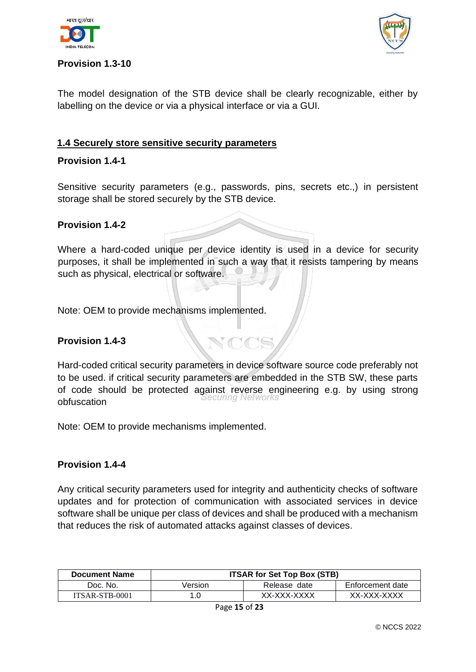



#### <span id="page-15-0"></span>**Provision 1.3-10**

<span id="page-15-1"></span>The model designation of the STB device shall be clearly recognizable, either by labelling on the device or via a physical interface or via a GUI.

#### <span id="page-15-2"></span>**1.4 Securely store sensitive security parameters**

#### **Provision 1.4-1**

<span id="page-15-3"></span>Sensitive security parameters (e.g., passwords, pins, secrets etc.,) in persistent storage shall be stored securely by the STB device.

#### **Provision 1.4-2**

Where a hard-coded unique per device identity is used in a device for security purposes, it shall be implemented in such a way that it resists tampering by means such as physical, electrical or software.

Note: OEM to provide mechanisms implemented.

#### <span id="page-15-4"></span>**Provision 1.4-3**

Hard-coded critical security parameters in device software source code preferably not to be used. if critical security parameters are embedded in the STB SW, these parts of code should be protected against reverse engineering e.g. by using strong obfuscation

<span id="page-15-5"></span>Note: OEM to provide mechanisms implemented.

#### **Provision 1.4-4**

Any critical security parameters used for integrity and authenticity checks of software updates and for protection of communication with associated services in device software shall be unique per class of devices and shall be produced with a mechanism that reduces the risk of automated attacks against classes of devices.

| <b>Document Name</b> | <b>ITSAR for Set Top Box (STB)</b> |              |                  |
|----------------------|------------------------------------|--------------|------------------|
| Doc. No.             | Version                            | Release date | Enforcement date |
| ITSAR-STB-0001       | 1.0                                | XX-XXX-XXXX  | XX-XXX-XXXX      |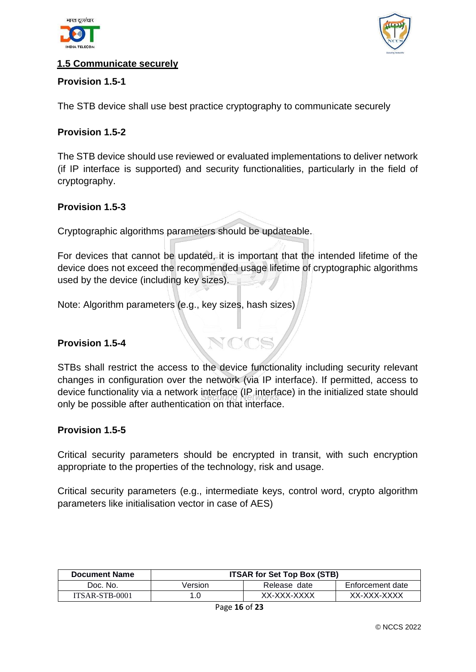



#### <span id="page-16-0"></span>**1.5 Communicate securely**

#### **Provision 1.5-1**

The STB device shall use best practice cryptography to communicate securely

#### **Provision 1.5-2**

<span id="page-16-1"></span>The STB device should use reviewed or evaluated implementations to deliver network (if IP interface is supported) and security functionalities, particularly in the field of cryptography.

#### **Provision 1.5-3**

<span id="page-16-3"></span><span id="page-16-2"></span>Cryptographic algorithms parameters should be updateable.

For devices that cannot be updated, it is important that the intended lifetime of the device does not exceed the recommended usage lifetime of cryptographic algorithms used by the device (including key sizes).

<span id="page-16-4"></span>Note: Algorithm parameters (e.g., key sizes, hash sizes)

#### <span id="page-16-5"></span>**Provision 1.5-4**

<span id="page-16-6"></span>STBs shall restrict the access to the device functionality including security relevant changes in configuration over the network (via IP interface). If permitted, access to device functionality via a network interface (IP interface) in the initialized state should only be possible after authentication on that interface.

#### **Provision 1.5-5**

<span id="page-16-7"></span>Critical security parameters should be encrypted in transit, with such encryption appropriate to the properties of the technology, risk and usage.

Critical security parameters (e.g., intermediate keys, control word, crypto algorithm parameters like initialisation vector in case of AES)

| <b>Document Name</b> | <b>ITSAR for Set Top Box (STB)</b> |              |                  |
|----------------------|------------------------------------|--------------|------------------|
| Doc. No.             | Version                            | Release date | Enforcement date |
| ITSAR-STB-0001       |                                    | XX-XXX-XXXX  | XX-XXX-XXXX      |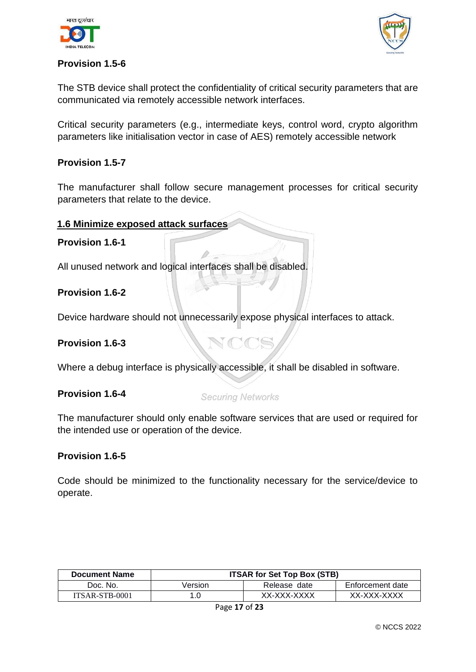



#### <span id="page-17-0"></span>**Provision 1.5-6**

The STB device shall protect the confidentiality of critical security parameters that are communicated via remotely accessible network interfaces.

<span id="page-17-1"></span>Critical security parameters (e.g., intermediate keys, control word, crypto algorithm parameters like initialisation vector in case of AES) remotely accessible network

#### <span id="page-17-2"></span>**Provision 1.5-7**

The manufacturer shall follow secure management processes for critical security parameters that relate to the device.

#### **1.6 Minimize exposed attack surfaces**

#### **Provision 1.6-1**

<span id="page-17-3"></span>All unused network and logical interfaces shall be disabled.

#### <span id="page-17-4"></span>**Provision 1.6-2**

Device hardware should not unnecessarily expose physical interfaces to attack.

#### <span id="page-17-5"></span>**Provision 1.6-3**

Where a debug interface is physically accessible, it shall be disabled in software.

#### **Provision 1.6-4**

#### **Securing Networks**

The manufacturer should only enable software services that are used or required for the intended use or operation of the device.

#### <span id="page-17-6"></span>**Provision 1.6-5**

Code should be minimized to the functionality necessary for the service/device to operate.

| <b>Document Name</b> | <b>ITSAR for Set Top Box (STB)</b> |              |                  |
|----------------------|------------------------------------|--------------|------------------|
| Doc. No.             | Version                            | Release date | Enforcement date |
| ITSAR-STB-0001       |                                    | XX-XXX-XXXX  | XX-XXX-XXXX      |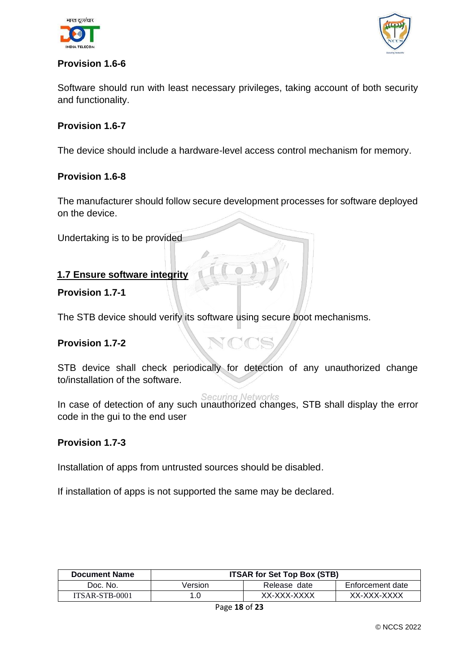



#### <span id="page-18-0"></span>**Provision 1.6-6**

<span id="page-18-1"></span>Software should run with least necessary privileges, taking account of both security and functionality.

#### **Provision 1.6-7**

The device should include a hardware-level access control mechanism for memory.

#### **Provision 1.6-8**

<span id="page-18-2"></span>The manufacturer should follow secure development processes for software deployed on the device.

Undertaking is to be provided

#### **1.7 Ensure software integrity**

#### <span id="page-18-3"></span>**Provision 1.7-1**

The STB device should verify its software using secure boot mechanisms.

#### **Provision 1.7-2**

STB device shall check periodically for detection of any unauthorized change to/installation of the software.

<span id="page-18-5"></span><span id="page-18-4"></span>Securing Networks<br>In case of detection of any such unauthorized changes, STB shall display the error code in the gui to the end user

#### **Provision 1.7-3**

<span id="page-18-6"></span>Installation of apps from untrusted sources should be disabled.

<span id="page-18-7"></span>If installation of apps is not supported the same may be declared.

| <b>Document Name</b> | <b>ITSAR for Set Top Box (STB)</b> |              |                  |
|----------------------|------------------------------------|--------------|------------------|
| Doc. No.             | Version                            | Release date | Enforcement date |
| ITSAR-STB-0001       |                                    | XX-XXX-XXXX  | XX-XXX-XXXX      |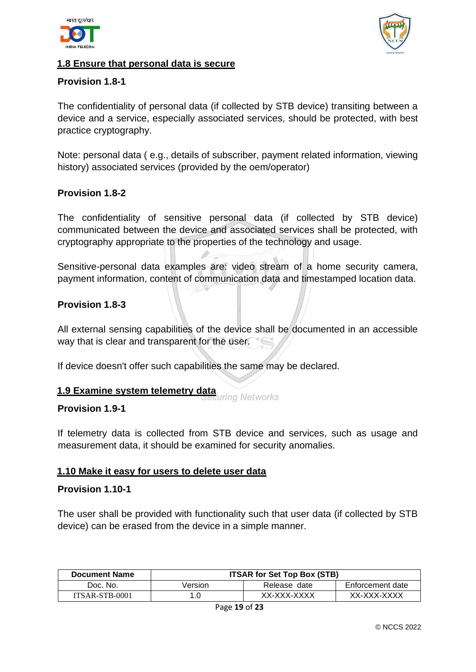



#### **1.8 Ensure that personal data is secure**

#### **Provision 1.8-1**

<span id="page-19-0"></span>The confidentiality of personal data (if collected by STB device) transiting between a device and a service, especially associated services, should be protected, with best practice cryptography.

<span id="page-19-1"></span>Note: personal data ( e.g., details of subscriber, payment related information, viewing history) associated services (provided by the oem/operator)

#### <span id="page-19-2"></span>**Provision 1.8-2**

The confidentiality of sensitive personal data (if collected by STB device) communicated between the device and associated services shall be protected, with cryptography appropriate to the properties of the technology and usage.

<span id="page-19-4"></span><span id="page-19-3"></span>Sensitive-personal data examples are: video stream of a home security camera, payment information, content of communication data and timestamped location data.

#### **Provision 1.8-3**

All external sensing capabilities of the device shall be documented in an accessible way that is clear and transparent for the user.

If device doesn't offer such capabilities the same may be declared.

# <span id="page-19-5"></span>**1.9 Examine system telemetry data**

#### <span id="page-19-6"></span>**Provision 1.9-1**

If telemetry data is collected from STB device and services, such as usage and measurement data, it should be examined for security anomalies.

#### **1.10 Make it easy for users to delete user data**

#### <span id="page-19-7"></span>**Provision 1.10-1**

The user shall be provided with functionality such that user data (if collected by STB device) can be erased from the device in a simple manner.

| <b>Document Name</b> | <b>ITSAR for Set Top Box (STB)</b> |              |                  |
|----------------------|------------------------------------|--------------|------------------|
| Doc. No.             | Version                            | Release date | Enforcement date |
| ITSAR-STB-0001       |                                    | XX-XXX-XXXX  | XX-XXX-XXXX      |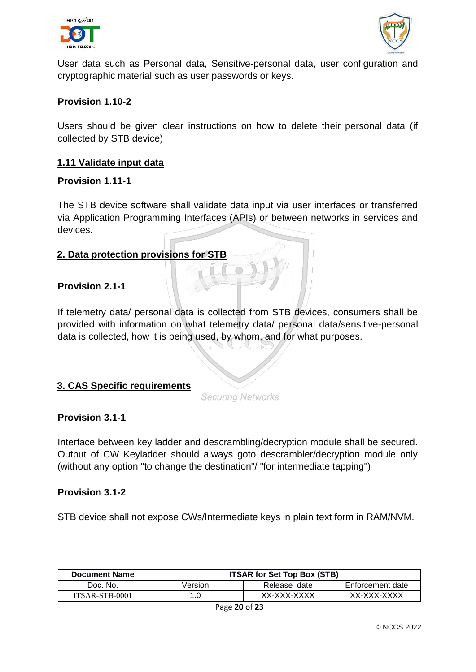



<span id="page-20-0"></span>User data such as Personal data, Sensitive-personal data, user configuration and cryptographic material such as user passwords or keys.

#### **Provision 1.10-2**

Users should be given clear instructions on how to delete their personal data (if collected by STB device)

#### <span id="page-20-1"></span>**1.11 Validate input data**

#### **Provision 1.11-1**

The STB device software shall validate data input via user interfaces or transferred via Application Programming Interfaces (APIs) or between networks in services and devices.

#### **2. Data protection provisions for STB**

#### **Provision 2.1-1**

<span id="page-20-2"></span>If telemetry data/ personal data is collected from STB devices, consumers shall be provided with information on what telemetry data/ personal data/sensitive-personal data is collected, how it is being used, by whom, and for what purposes.

#### <span id="page-20-3"></span>**3. CAS Specific requirements**

**Securing Networks** 

#### **Provision 3.1-1**

Interface between key ladder and descrambling/decryption module shall be secured. Output of CW Keyladder should always goto descrambler/decryption module only (without any option "to change the destination"/ "for intermediate tapping")

#### **Provision 3.1-2**

STB device shall not expose CWs/Intermediate keys in plain text form in RAM/NVM.

| <b>Document Name</b> | <b>ITSAR for Set Top Box (STB)</b> |              |                  |
|----------------------|------------------------------------|--------------|------------------|
| Doc. No.             | Version                            | Release date | Enforcement date |
| ITSAR-STB-0001       | 1.0                                | XX-XXX-XXXX  | XX-XXX-XXXX      |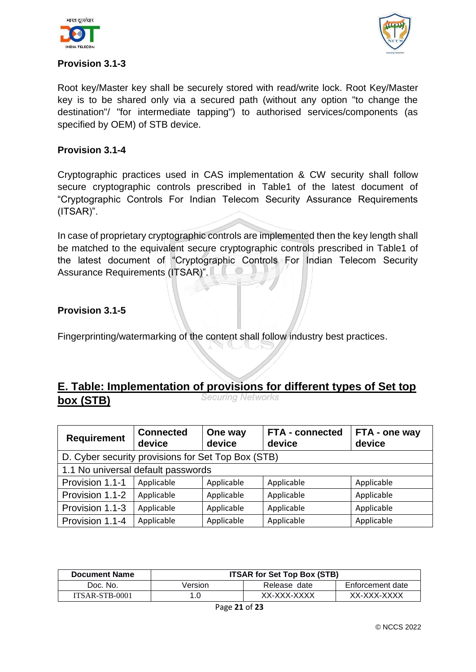



#### **Provision 3.1-3**

Root key/Master key shall be securely stored with read/write lock. Root Key/Master key is to be shared only via a secured path (without any option "to change the destination"/ "for intermediate tapping") to authorised services/components (as specified by OEM) of STB device.

#### **Provision 3.1-4**

Cryptographic practices used in CAS implementation & CW security shall follow secure cryptographic controls prescribed in Table1 of the latest document of "Cryptographic Controls For Indian Telecom Security Assurance Requirements (ITSAR)".

In case of proprietary cryptographic controls are implemented then the key length shall be matched to the equivalent secure cryptographic controls prescribed in Table1 of the latest document of "Cryptographic Controls For Indian Telecom Security Assurance Requirements (ITSAR)".

#### **Provision 3.1-5**

Fingerprinting/watermarking of the content shall follow industry best practices.

## **E. Table: Implementation of provisions for different types of Set top**<br>*Securing Networks* **box (STB)**

| <b>Requirement</b>                                 | <b>Connected</b><br>device | One way<br>device | <b>FTA - connected</b><br>device | FTA - one way<br>device |  |  |
|----------------------------------------------------|----------------------------|-------------------|----------------------------------|-------------------------|--|--|
| D. Cyber security provisions for Set Top Box (STB) |                            |                   |                                  |                         |  |  |
| 1.1 No universal default passwords                 |                            |                   |                                  |                         |  |  |
| Provision 1.1-1                                    | Applicable                 | Applicable        | Applicable                       | Applicable              |  |  |
| Provision 1.1-2                                    | Applicable                 | Applicable        | Applicable                       | Applicable              |  |  |
| Provision 1.1-3                                    | Applicable                 | Applicable        | Applicable                       | Applicable              |  |  |
| Provision 1.1-4                                    | Applicable                 | Applicable        | Applicable                       | Applicable              |  |  |

| <b>Document Name</b> | <b>ITSAR for Set Top Box (STB)</b> |              |                  |
|----------------------|------------------------------------|--------------|------------------|
| Doc. No.             | Version                            | Release date | Enforcement date |
| ITSAR-STB-0001       |                                    | XX-XXX-XXXX  | XX-XXX-XXXX      |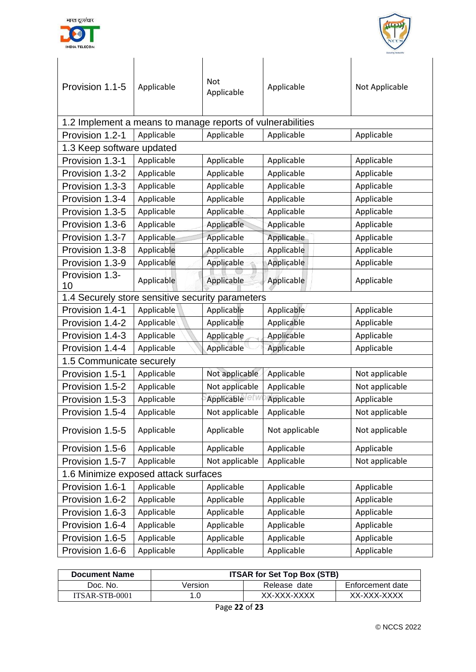



| Provision 1.1-5                                  | Applicable                                                 | <b>Not</b><br>Applicable | Applicable     | Not Applicable |  |  |  |
|--------------------------------------------------|------------------------------------------------------------|--------------------------|----------------|----------------|--|--|--|
|                                                  | 1.2 Implement a means to manage reports of vulnerabilities |                          |                |                |  |  |  |
| Provision 1.2-1                                  | Applicable                                                 | Applicable               | Applicable     | Applicable     |  |  |  |
| 1.3 Keep software updated                        |                                                            |                          |                |                |  |  |  |
| Provision 1.3-1                                  | Applicable                                                 | Applicable               | Applicable     | Applicable     |  |  |  |
| Provision 1.3-2                                  | Applicable                                                 | Applicable               | Applicable     | Applicable     |  |  |  |
| Provision 1.3-3                                  | Applicable                                                 | Applicable               | Applicable     | Applicable     |  |  |  |
| Provision 1.3-4                                  | Applicable                                                 | Applicable               | Applicable     | Applicable     |  |  |  |
| Provision 1.3-5                                  | Applicable                                                 | Applicable               | Applicable     | Applicable     |  |  |  |
| Provision 1.3-6                                  | Applicable                                                 | Applicable               | Applicable     | Applicable     |  |  |  |
| Provision 1.3-7                                  | Applicable                                                 | Applicable               | Applicable     | Applicable     |  |  |  |
| Provision 1.3-8                                  | Applicable                                                 | Applicable               | Applicable     | Applicable     |  |  |  |
| Provision 1.3-9                                  | Applicable                                                 | Applicable               | Applicable     | Applicable     |  |  |  |
| Provision 1.3-<br>10                             | Applicable                                                 | Applicable               | Applicable     | Applicable     |  |  |  |
| 1.4 Securely store sensitive security parameters |                                                            |                          |                |                |  |  |  |
| Provision 1.4-1                                  | Applicable                                                 | Applicable               | Applicable     | Applicable     |  |  |  |
| Provision 1.4-2                                  | Applicable                                                 | Applicable               | Applicable     | Applicable     |  |  |  |
| Provision 1.4-3                                  | Applicable                                                 | Applicable               | Applicable     | Applicable     |  |  |  |
| Provision 1.4-4                                  | Applicable                                                 | Applicable               | Applicable     | Applicable     |  |  |  |
| 1.5 Communicate securely                         |                                                            |                          |                |                |  |  |  |
| Provision 1.5-1                                  | Applicable                                                 | Not applicable           | Applicable     | Not applicable |  |  |  |
| Provision 1.5-2                                  | Applicable                                                 | Not applicable           | Applicable     | Not applicable |  |  |  |
| Provision 1.5-3                                  | Applicable                                                 | Applicable etv           | Applicable     | Applicable     |  |  |  |
| Provision 1.5-4                                  | Applicable                                                 | Not applicable           | Applicable     | Not applicable |  |  |  |
| Provision 1.5-5                                  | Applicable                                                 | Applicable               | Not applicable | Not applicable |  |  |  |
| Provision 1.5-6                                  | Applicable                                                 | Applicable               | Applicable     | Applicable     |  |  |  |
| Provision 1.5-7                                  | Applicable                                                 | Not applicable           | Applicable     | Not applicable |  |  |  |
| 1.6 Minimize exposed attack surfaces             |                                                            |                          |                |                |  |  |  |
| Provision 1.6-1                                  | Applicable                                                 | Applicable               | Applicable     | Applicable     |  |  |  |
| Provision 1.6-2                                  | Applicable                                                 | Applicable               | Applicable     | Applicable     |  |  |  |
| Provision 1.6-3                                  | Applicable                                                 | Applicable               | Applicable     | Applicable     |  |  |  |
| Provision 1.6-4                                  | Applicable                                                 | Applicable               | Applicable     | Applicable     |  |  |  |
| Provision 1.6-5                                  | Applicable                                                 | Applicable               | Applicable     | Applicable     |  |  |  |
| Provision 1.6-6                                  | Applicable                                                 | Applicable               | Applicable     | Applicable     |  |  |  |
|                                                  |                                                            |                          |                |                |  |  |  |

| <b>Document Name</b> | <b>ITSAR for Set Top Box (STB)</b> |              |                  |  |
|----------------------|------------------------------------|--------------|------------------|--|
| Doc. No.             | Version                            | Release date | Enforcement date |  |
| ITSAR-STB-0001       | .0                                 | XX-XXX-XXXX  | XX-XXX-XXXX      |  |